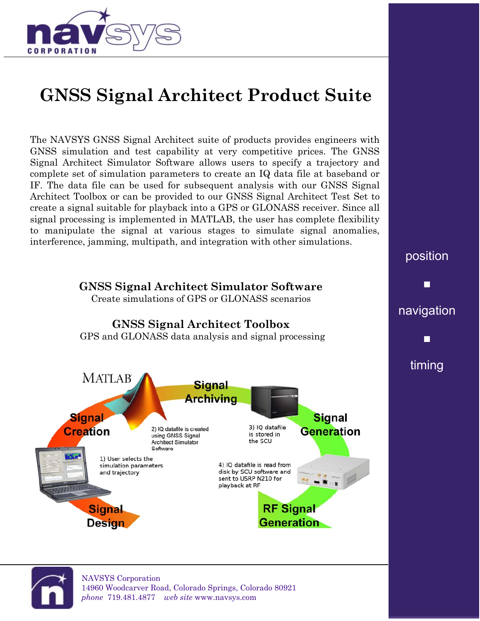

## **GNSS Signal Architect Product Suite**

The NAVSYS GNSS Signal Architect suite of products provides engineers with GNSS simulation and test capability at very competitive prices. The GNSS Signal Architect Simulator Software allows users to specify a trajectory and complete set of simulation parameters to create an IQ data file at baseband or IF. The data file can be used for subsequent analysis with our GNSS Signal Architect Toolbox or can be provided to our GNSS Signal Architect Test Set to create a signal suitable for playback into a GPS or GLONASS receiver. Since all signal processing is implemented in MATLAB, the user has complete flexibility to manipulate the signal at various stages to simulate signal anomalies, interference, jamming, multipath, and integration with other simulations.